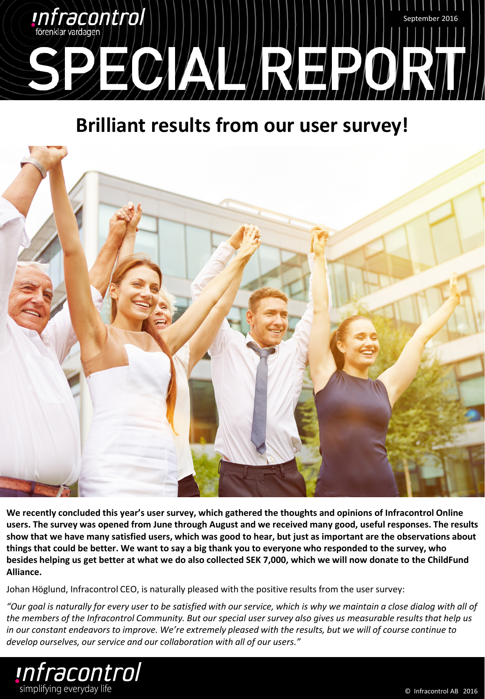

## **Brilliant results from our user survey!**



**We recently concluded this year's user survey, which gathered the thoughts and opinions of Infracontrol Online users. The survey was opened from June through August and we received many good, useful responses. The results show that we have many satisfied users, which was good to hear, but just as important are the observations about things that could be better. We want to say a big thank you to everyone who responded to the survey, who besides helping us get better at what we do also collected SEK 7,000, which we will now donate to the ChildFund Alliance.**

Johan Höglund, Infracontrol CEO, is naturally pleased with the positive results from the user survey:

*"Our goal is naturally for every user to be satisfied with our service, which is why we maintain a close dialog with all of the members of the Infracontrol Community. But our special user survey also gives us measurable results that help us in our constant endeavors to improve. We're extremely pleased with the results, but we will of course continue to develop ourselves, our service and our collaboration with all of our users."*